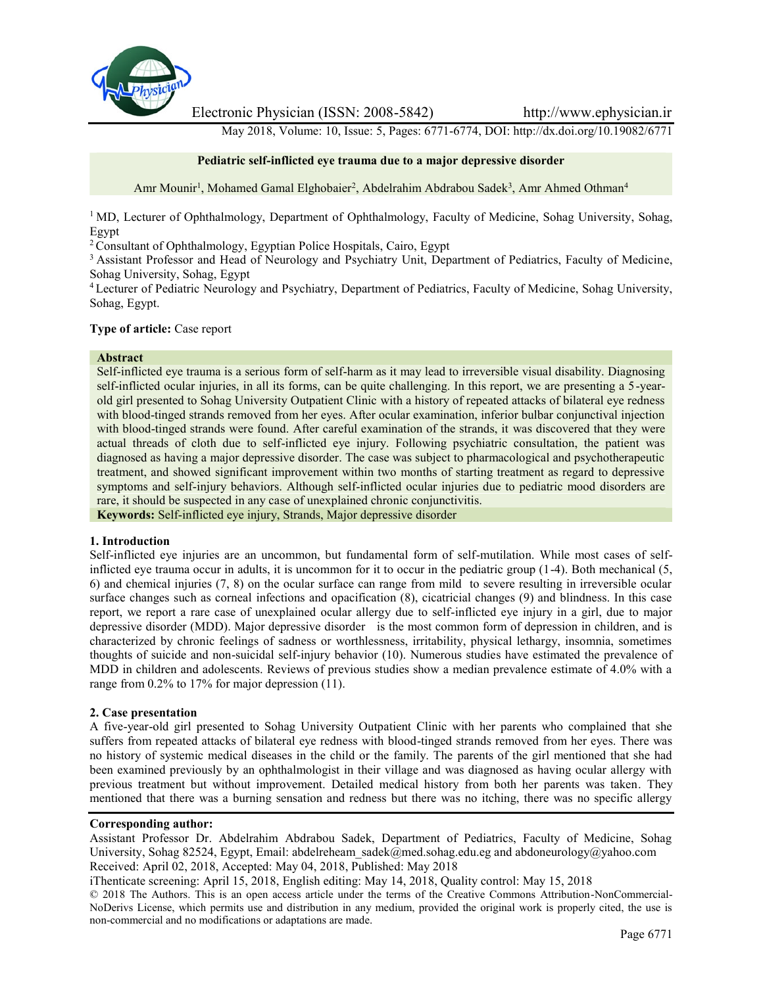

Electronic Physician (ISSN: 2008-5842) http://www.ephysician.ir

May 2018, Volume: 10, Issue: 5, Pages: 6771-6774, DOI: http://dx.doi.org/10.19082/6771

# **Pediatric self-inflicted eye trauma due to a major depressive disorder**

Amr Mounir<sup>1</sup>, Mohamed Gamal Elghobaier<sup>2</sup>, Abdelrahim Abdrabou Sadek<sup>3</sup>, Amr Ahmed Othman<sup>4</sup>

<sup>1</sup> MD, Lecturer of Ophthalmology, Department of Ophthalmology, Faculty of Medicine, Sohag University, Sohag, Egypt

<sup>2</sup> Consultant of Ophthalmology, Egyptian Police Hospitals, Cairo, Egypt

<sup>3</sup> Assistant Professor and Head of Neurology and Psychiatry Unit, Department of Pediatrics, Faculty of Medicine, Sohag University, Sohag, Egypt

<sup>4</sup> Lecturer of Pediatric Neurology and Psychiatry, Department of Pediatrics, Faculty of Medicine, Sohag University, Sohag, Egypt.

# **Type of article:** Case report

#### **Abstract**

Self-inflicted eye trauma is a serious form of self-harm as it may lead to irreversible visual disability. Diagnosing self-inflicted ocular injuries, in all its forms, can be quite challenging. In this report, we are presenting a 5-year old girl presented to Sohag University Outpatient Clinic with a history of repeated attacks of bilateral eye redness with blood-tinged strands removed from her eyes. After ocular examination, inferior bulbar conjunctival injection with blood-tinged strands were found. After careful examination of the strands, it was discovered that they were actual threads of cloth due to self-inflicted eye injury. Following psychiatric consultation, the patient was diagnosed as having a major depressive disorder. The case was subject to pharmacological and psychotherapeutic treatment, and showed significant improvement within two months of starting treatment as regard to depressive symptoms and self-injury behaviors. Although self-inflicted ocular injuries due to pediatric mood disorders are rare, it should be suspected in any case of unexplained chronic conjunctivitis.

**Keywords:** Self-inflicted eye injury, Strands, Major depressive disorder

### **1. Introduction**

Self-inflicted eye injuries are an uncommon, but fundamental form of self-mutilation. While most cases of selfinflicted eye trauma occur in adults, it is uncommon for it to occur in the pediatric group (1-4). Both mechanical (5, 6) and chemical injuries (7, 8) on the ocular surface can range from mild to severe resulting in irreversible ocular surface changes such as corneal infections and opacification (8), cicatricial changes (9) and blindness. In this case report, we report a rare case of unexplained ocular allergy due to self-inflicted eye injury in a girl, due to major depressive disorder (MDD). Major depressive disorder is the most common form of depression in children, and is characterized by chronic feelings of sadness or worthlessness, irritability, physical lethargy, insomnia, sometimes thoughts of suicide and non-suicidal self-injury behavior (10). Numerous studies have estimated the prevalence of MDD in children and adolescents. Reviews of previous studies show a median prevalence estimate of 4.0% with a range from 0.2% to 17% for major depression (11).

### **2. Case presentation**

A five-year-old girl presented to Sohag University Outpatient Clinic with her parents who complained that she suffers from repeated attacks of bilateral eye redness with blood-tinged strands removed from her eyes. There was no history of systemic medical diseases in the child or the family. The parents of the girl mentioned that she had been examined previously by an ophthalmologist in their village and was diagnosed as having ocular allergy with previous treatment but without improvement. Detailed medical history from both her parents was taken. They mentioned that there was a burning sensation and redness but there was no itching, there was no specific allergy

### **Corresponding author:**

Assistant Professor Dr. Abdelrahim Abdrabou Sadek, Department of Pediatrics, Faculty of Medicine, Sohag University, Sohag 82524, Egypt, Email: abdelreheam\_sadek@med.sohag.edu.eg and abdoneurology@yahoo.com Received: April 02, 2018, Accepted: May 04, 2018, Published: May 2018

iThenticate screening: April 15, 2018, English editing: May 14, 2018, Quality control: May 15, 2018

© 2018 The Authors. This is an open access article under the terms of the Creative Commons Attribution-NonCommercial- NoDerivs License, which permits use and distribution in any medium, provided the original work is properly cited, the use is non-commercial and no modifications or adaptations are made.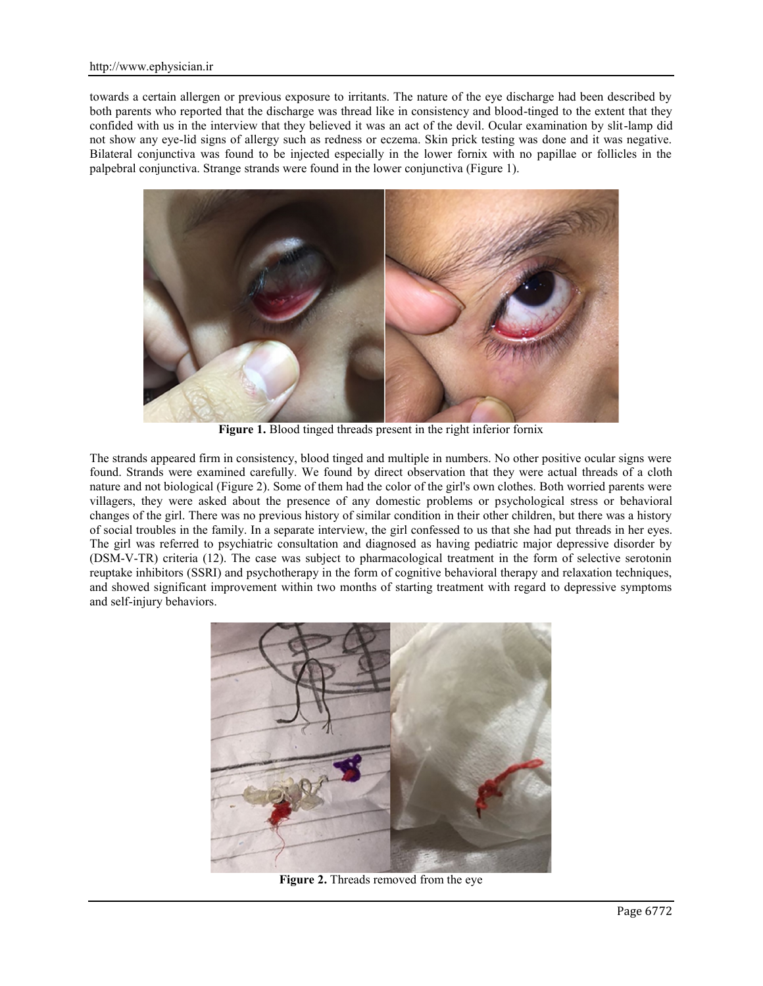towards a certain allergen or previous exposure to irritants. The nature of the eye discharge had been described by both parents who reported that the discharge was thread like in consistency and blood-tinged to the extent that they confided with us in the interview that they believed it was an act of the devil. Ocular examination by slit-lamp did not show any eye-lid signs of allergy such as redness or eczema. Skin prick testing was done and it was negative. Bilateral conjunctiva was found to be injected especially in the lower fornix with no papillae or follicles in the palpebral conjunctiva. Strange strands were found in the lower conjunctiva (Figure 1).



**Figure 1.** Blood tinged threads present in the right inferior fornix

The strands appeared firm in consistency, blood tinged and multiple in numbers. No other positive ocular signs were found. Strands were examined carefully. We found by direct observation that they were actual threads of a cloth nature and not biological (Figure 2). Some of them had the color of the girl's own clothes. Both worried parents were villagers, they were asked about the presence of any domestic problems or psychological stress or behavioral changes of the girl. There was no previous history of similar condition in their other children, but there was a history of social troubles in the family. In a separate interview, the girl confessed to us that she had put threads in her eyes. The girl was referred to psychiatric consultation and diagnosed as having pediatric major depressive disorder by (DSM-V-TR) criteria (12). The case was subject to pharmacological treatment in the form of selective serotonin reuptake inhibitors (SSRI) and psychotherapy in the form of cognitive behavioral therapy and relaxation techniques, and showed significant improvement within two months of starting treatment with regard to depressive symptoms and self-injury behaviors.



**Figure 2.** Threads removed from the eye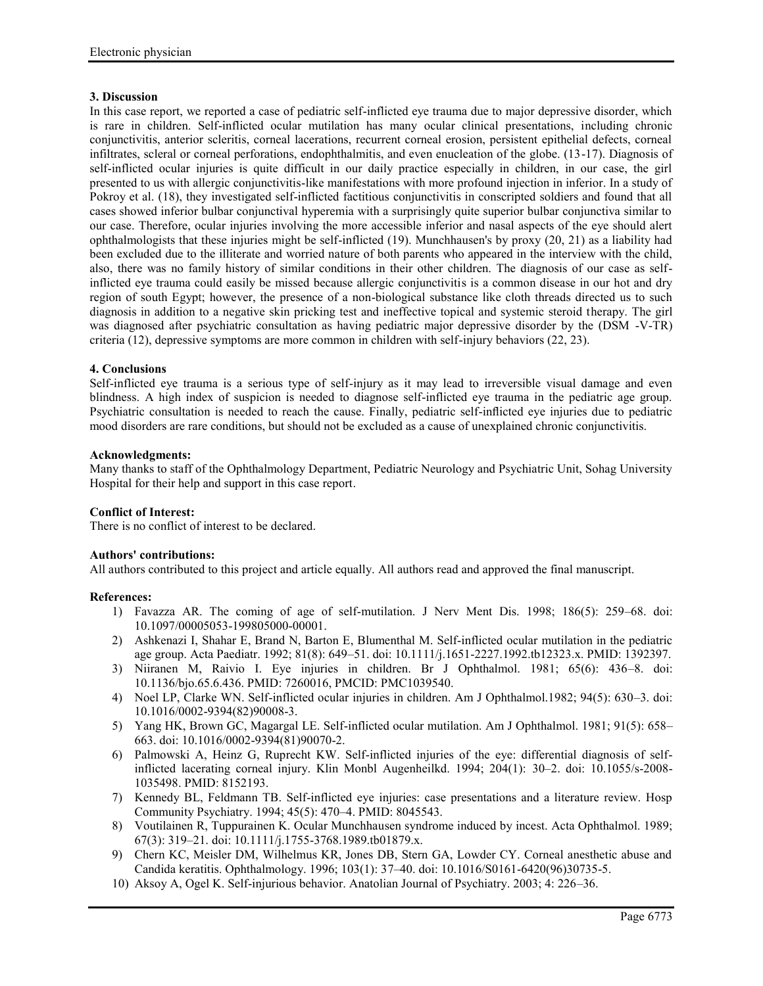# **3. Discussion**

In this case report, we reported a case of pediatric self-inflicted eye trauma due to major depressive disorder, which is rare in children. Self-inflicted ocular mutilation has many ocular clinical presentations, including chronic conjunctivitis, anterior scleritis, corneal lacerations, recurrent corneal erosion, persistent epithelial defects, corneal infiltrates, scleral or corneal perforations, endophthalmitis, and even enucleation of the globe. (13-17). Diagnosis of self-inflicted ocular injuries is quite difficult in our daily practice especially in children, in our case, the girl presented to us with allergic conjunctivitis-like manifestations with more profound injection in inferior. In a study of Pokroy et al. (18), they investigated self-inflicted factitious conjunctivitis in conscripted soldiers and found that all cases showed inferior bulbar conjunctival hyperemia with a surprisingly quite superior bulbar conjunctiva similar to our case. Therefore, ocular injuries involving the more accessible inferior and nasal aspects of the eye should alert ophthalmologists that these injuries might be self-inflicted (19). Munchhausen's by proxy (20, 21) as a liability had been excluded due to the illiterate and worried nature of both parents who appeared in the interview with the child, also, there was no family history of similar conditions in their other children. The diagnosis of our case as selfinflicted eye trauma could easily be missed because allergic conjunctivitis is a common disease in our hot and dry region of south Egypt; however, the presence of a non-biological substance like cloth threads directed us to such diagnosis in addition to a negative skin pricking test and ineffective topical and systemic steroid therapy. The girl was diagnosed after psychiatric consultation as having pediatric major depressive disorder by the (DSM -V-TR) criteria (12), depressive symptoms are more common in children with self-injury behaviors (22, 23).

# **4. Conclusions**

Self-inflicted eye trauma is a serious type of self-injury as it may lead to irreversible visual damage and even blindness. A high index of suspicion is needed to diagnose self-inflicted eye trauma in the pediatric age group. Psychiatric consultation is needed to reach the cause. Finally, pediatric self-inflicted eye injuries due to pediatric mood disorders are rare conditions, but should not be excluded as a cause of unexplained chronic conjunctivitis.

### **Acknowledgments:**

Many thanks to staff of the Ophthalmology Department, Pediatric Neurology and Psychiatric Unit, Sohag University Hospital for their help and support in this case report.

### **Conflict of Interest:**

There is no conflict of interest to be declared.

### **Authors' contributions:**

All authors contributed to this project and article equally. All authors read and approved the final manuscript.

### **References:**

- 1) Favazza AR. The coming of age of self-mutilation. J Nerv Ment Dis. 1998; 186(5): 259–68. doi: 10.1097/00005053-199805000-00001.
- 2) Ashkenazi I, Shahar E, Brand N, Barton E, Blumenthal M. Self-inflicted ocular mutilation in the pediatric age group. Acta Paediatr. 1992; 81(8): 649–51. doi: 10.1111/j.1651-2227.1992.tb12323.x. PMID: 1392397.
- 3) Niiranen M, Raivio I. Eye injuries in children. Br J Ophthalmol. 1981; 65(6): 436–8. doi: 10.1136/bjo.65.6.436. PMID: 7260016, PMCID: PMC1039540.
- 4) Noel LP, Clarke WN. Self-inflicted ocular injuries in children. Am J Ophthalmol.1982; 94(5): 630–3. doi: 10.1016/0002-9394(82)90008-3.
- 5) Yang HK, Brown GC, Magargal LE. Self-inflicted ocular mutilation. Am J Ophthalmol. 1981; 91(5): 658– 663. doi: 10.1016/0002-9394(81)90070-2.
- 6) Palmowski A, Heinz G, Ruprecht KW. Self-inflicted injuries of the eye: differential diagnosis of selfinflicted lacerating corneal injury. Klin Monbl Augenheilkd. 1994; 204(1): 30–2. doi: 10.1055/s-2008- 1035498. PMID: 8152193.
- 7) Kennedy BL, Feldmann TB. Self-inflicted eye injuries: case presentations and a literature review. Hosp Community Psychiatry. 1994; 45(5): 470–4. PMID: 8045543.
- 8) Voutilainen R, Tuppurainen K. Ocular Munchhausen syndrome induced by incest. Acta Ophthalmol. 1989; 67(3): 319–21. doi: 10.1111/j.1755-3768.1989.tb01879.x.
- 9) Chern KC, Meisler DM, Wilhelmus KR, Jones DB, Stern GA, Lowder CY. Corneal anesthetic abuse and Candida keratitis. Ophthalmology. 1996; 103(1): 37–40. doi: 10.1016/S0161-6420(96)30735-5.
- 10) Aksoy A, Ogel K. Self-injurious behavior. Anatolian Journal of Psychiatry. 2003; 4: 226–36.